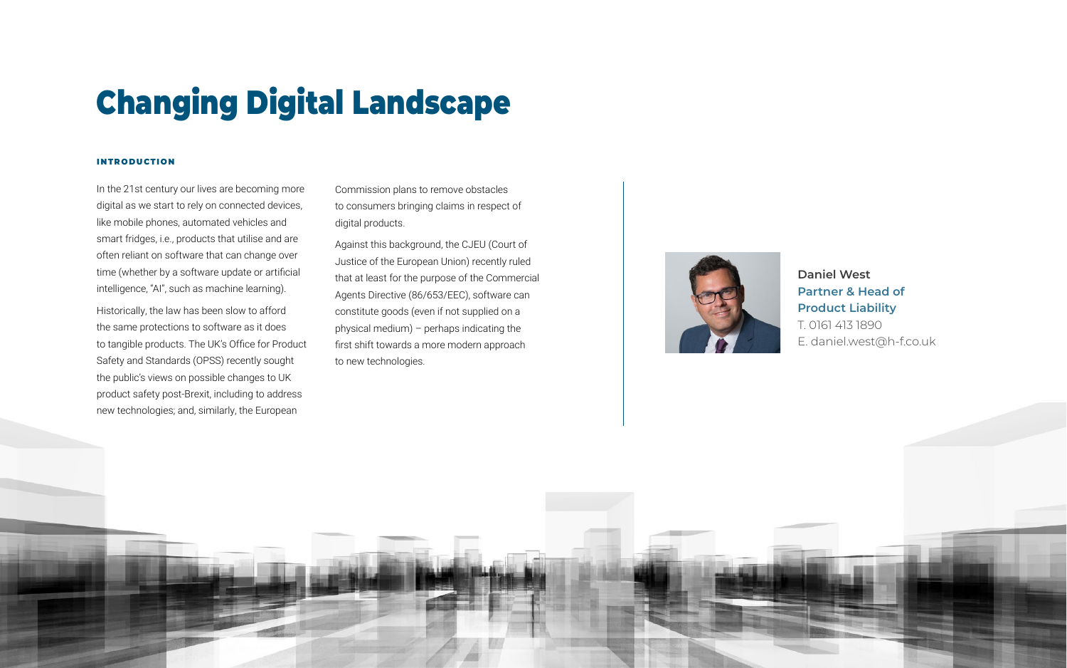In the 21st century our lives are becoming more digital as we start to rely on connected devices, like mobile phones, automated vehicles and smart fridges, i.e., products that utilise and are often reliant on software that can change over time (whether by a software update or artificial intelligence, "AI", such as machine learning).

Historically, the law has been slow to afford the same protections to software as it does to tangible products. The UK's Office for Product Safety and Standards (OPSS) recently sought the public's views on possible changes to UK product safety post-Brexit, including to address new technologies; and, similarly, the European

Commission plans to remove obstacles to consumers bringing claims in respect of digital products.

Against this background, the CJEU (Court of Justice of the European Union) recently ruled that at least for the purpose of the Commercial Agents Directive (86/653/EEC), software can constitute goods (even if not supplied on a physical medium) – perhaps indicating the first shift towards a more modern approach to new technologies.







#### **introduction**

# Changing Digital Landscape

## **Daniel West Partner & Head of Product Liability**

T. 0161 413 1890 E. daniel.west@h-f.co.uk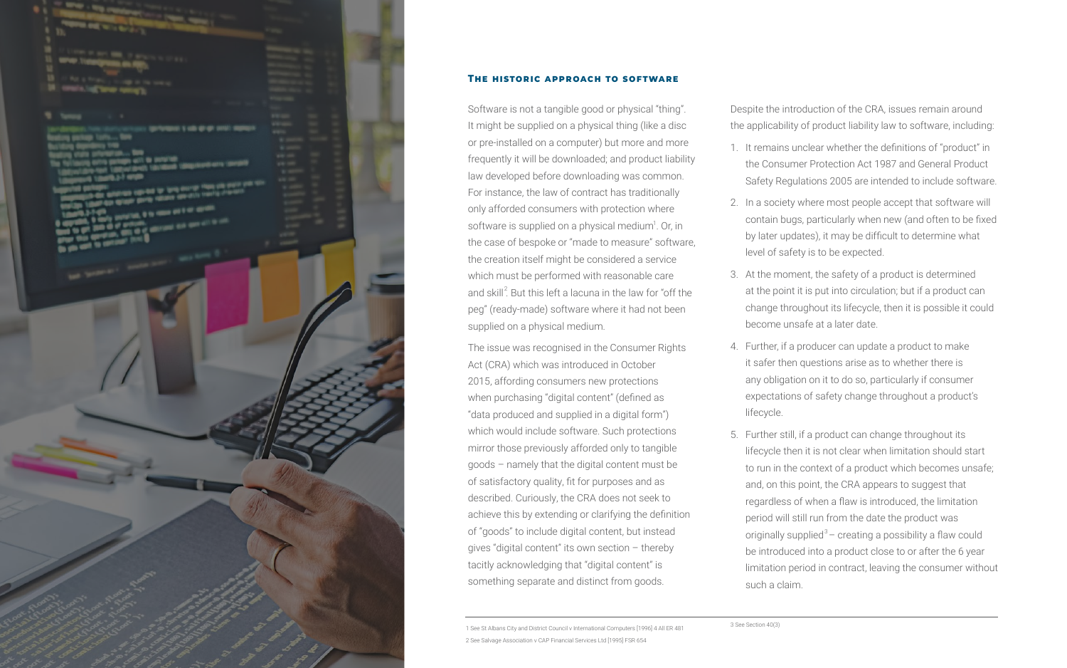Software is not a tangible good or physical "thing". It might be supplied on a physical thing (like a disc or pre-installed on a computer) but more and more frequently it will be downloaded; and product liability law developed before downloading was common. For instance, the law of contract has traditionally only afforded consumers with protection where software is supplied on a physical medium<sup>1</sup>. Or, in the case of bespoke or "made to measure" software, the creation itself might be considered a service which must be performed with reasonable care and skill $^2$ . But this left a lacuna in the law for "off the peg" (ready-made) software where it had not been supplied on a physical medium.

The issue was recognised in the Consumer Rights Act (CRA) which was introduced in October 2015, affording consumers new protections when purchasing "digital content" (defined as "data produced and supplied in a digital form") which would include software. Such protections mirror those previously afforded only to tangible goods – namely that the digital content must be of satisfactory quality, fit for purposes and as described. Curiously, the CRA does not seek to achieve this by extending or clarifying the definition of "goods" to include digital content, but instead gives "digital content" its own section – thereby tacitly acknowledging that "digital content" is something separate and distinct from goods.



#### **The historic approach to software**

Despite the introduction of the CRA, issues remain around the applicability of product liability law to software, including:

1. It remains unclear whether the definitions of "product" in the Consumer Protection Act 1987 and General Product Safety Regulations 2005 are intended to include software.

2. In a society where most people accept that software will contain bugs, particularly when new (and often to be fixed by later updates), it may be difficult to determine what level of safety is to be expected.

3. At the moment, the safety of a product is determined at the point it is put into circulation; but if a product can change throughout its lifecycle, then it is possible it could become unsafe at a later date.

4. Further, if a producer can update a product to make it safer then questions arise as to whether there is any obligation on it to do so, particularly if consumer expectations of safety change throughout a product's lifecycle.

5. Further still, if a product can change throughout its lifecycle then it is not clear when limitation should start to run in the context of a product which becomes unsafe; and, on this point, the CRA appears to suggest that regardless of when a flaw is introduced, the limitation period will still run from the date the product was originally supplied $3-$  creating a possibility a flaw could be introduced into a product close to or after the 6 year limitation period in contract, leaving the consumer without such a claim.

1 See St Albans City and District Council v International Computers [1996] 4 All ER 481 2 See Salvage Association v CAP Financial Services Ltd [1995] FSR 654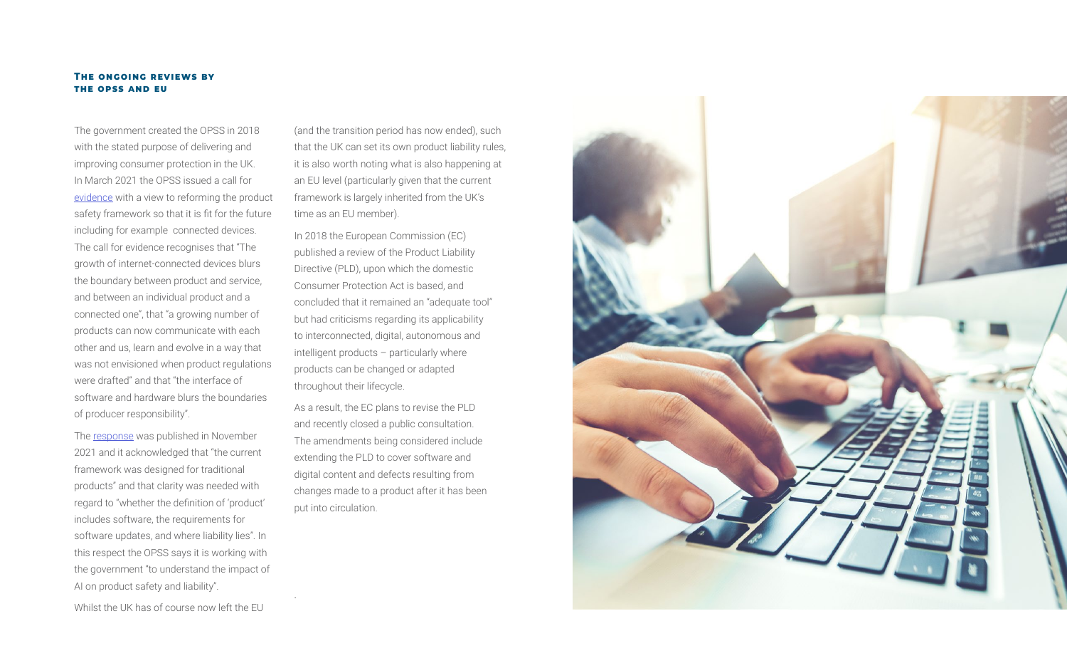The government created the OPSS in 2018 with the stated purpose of delivering and improving consumer protection in the UK. In March 2021 the OPSS issued a call for [evidence](https://assets.publishing.service.gov.uk/government/uploads/system/uploads/attachment_data/file/1035916/uk-product-safety-review-call-for-evidence2.pdf) with a view to reforming the product safety framework so that it is fit for the future including for example connected devices. The call for evidence recognises that "The growth of internet-connected devices blurs the boundary between product and service, and between an individual product and a connected one", that "a growing number of products can now communicate with each other and us, learn and evolve in a way that was not envisioned when product regulations were drafted" and that "the interface of software and hardware blurs the boundaries of producer responsibility".

The [response](https://assets.publishing.service.gov.uk/government/uploads/system/uploads/attachment_data/file/1035917/uk-product-safety-review-call-for-evidence-response2.pdf) was published in November 2021 and it acknowledged that "the current framework was designed for traditional products" and that clarity was needed with regard to "whether the definition of 'product' includes software, the requirements for software updates, and where liability lies". In this respect the OPSS says it is working with the government "to understand the impact of AI on product safety and liability".

Whilst the UK has of course now left the EU

(and the transition period has now ended), such that the UK can set its own product liability rules, it is also worth noting what is also happening at an EU level (particularly given that the current framework is largely inherited from the UK's time as an EU member).

In 2018 the European Commission (EC) published a review of the Product Liability Directive (PLD), upon which the domestic Consumer Protection Act is based, and concluded that it remained an "adequate tool" but had criticisms regarding its applicability to interconnected, digital, autonomous and intelligent products – particularly where products can be changed or adapted throughout their lifecycle.

As a result, the EC plans to revise the PLD and recently closed a public consultation. The amendments being considered include extending the PLD to cover software and digital content and defects resulting from changes made to a product after it has been put into circulation.

.



#### **The ongoing reviews by the opss and eu**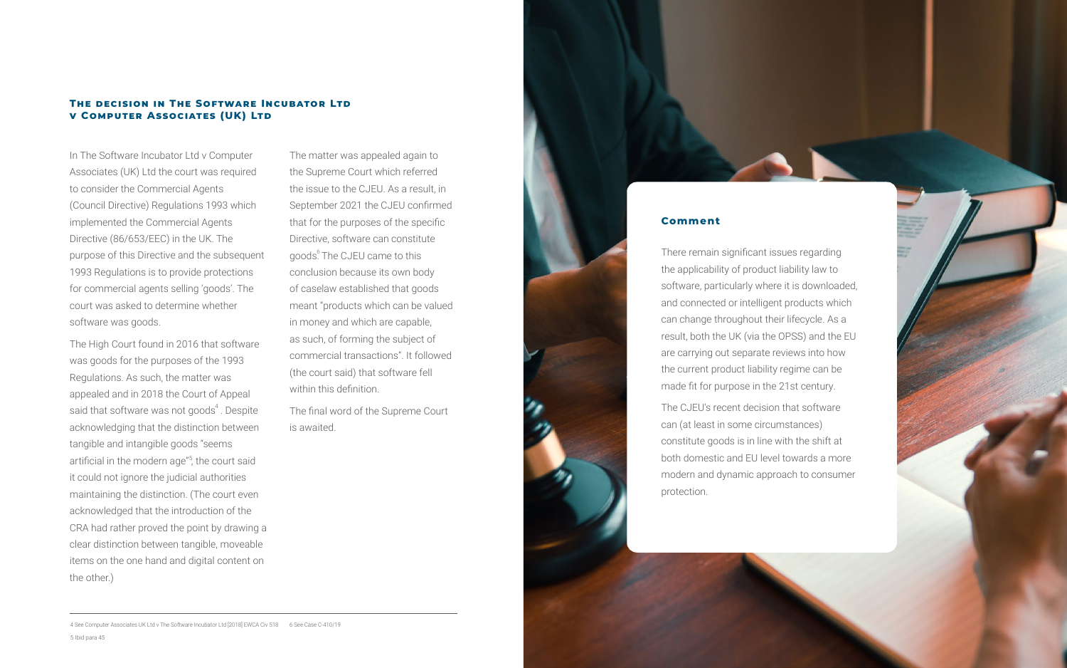In The Software Incubator Ltd v Computer Associates (UK) Ltd the court was required to consider the Commercial Agents (Council Directive) Regulations 1993 which implemented the Commercial Agents Directive (86/653/EEC) in the UK. The purpose of this Directive and the subsequent 1993 Regulations is to provide protections for commercial agents selling 'goods'. The court was asked to determine whether software was goods.

The High Court found in 2016 that software was goods for the purposes of the 1993 Regulations. As such, the matter was appealed and in 2018 the Court of Appeal said that software was not goods $^4$ . Despite acknowledging that the distinction between tangible and intangible goods "seems artificial in the modern age"<sup>5</sup>, the court said it could not ignore the judicial authorities maintaining the distinction. (The court even acknowledged that the introduction of the CRA had rather proved the point by drawing a clear distinction between tangible, moveable items on the one hand and digital content on the other.)

#### **THE DECISION IN THE SOFTWARE INCUBATOR LTD v Computer Associates (UK) Ltd**

The matter was appealed again to the Supreme Court which referred the issue to the CJEU. As a result, in September 2021 the CJEU confirmed that for the purposes of the specific Directive, software can constitute goods. The CJEU came to this conclusion because its own body of caselaw established that goods meant "products which can be valued in money and which are capable, as such, of forming the subject of commercial transactions". It followed (the court said) that software fell within this definition.

The final word of the Supreme Court is awaited.

#### **Comment**

There remain significant issues regarding the applicability of product liability law to software, particularly where it is downloaded, and connected or intelligent products which can change throughout their lifecycle. As a result, both the UK (via the OPSS) and the EU are carrying out separate reviews into how the current product liability regime can be made fit for purpose in the 21st century.

The CJEU's recent decision that software can (at least in some circumstances) constitute goods is in line with the shift at both domestic and EU level towards a more modern and dynamic approach to consumer protection.

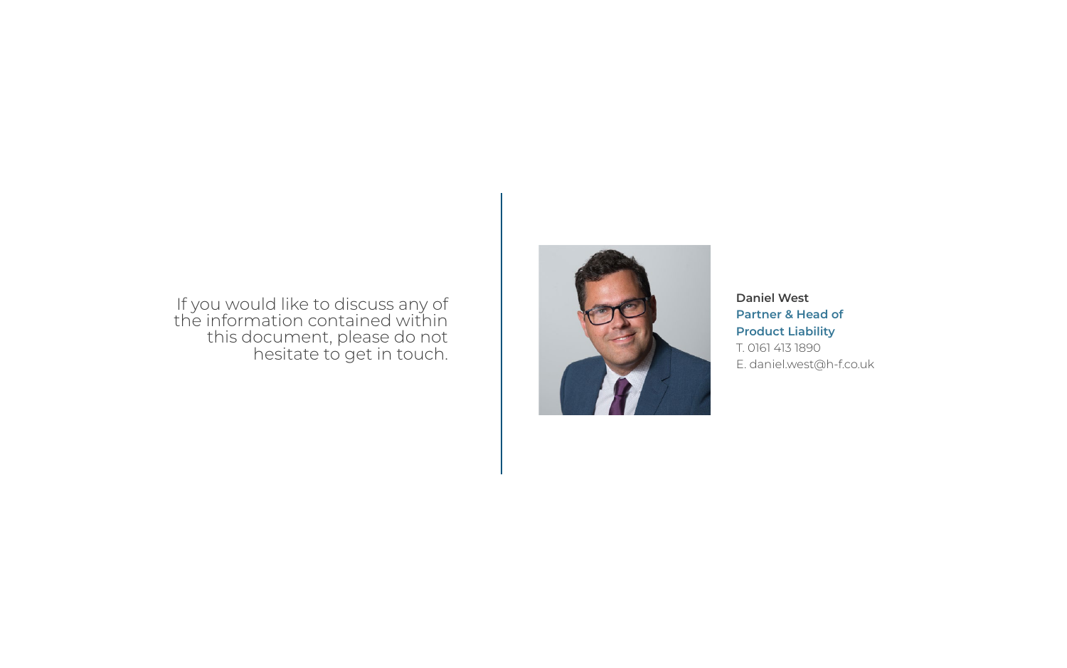**Daniel West Partner & Head of Product Liability**

T. 0161 413 1890 E. daniel.west@h-f.co.uk

### If you would like to discuss any of the information contained within this document, please do not hesitate to get in touch.